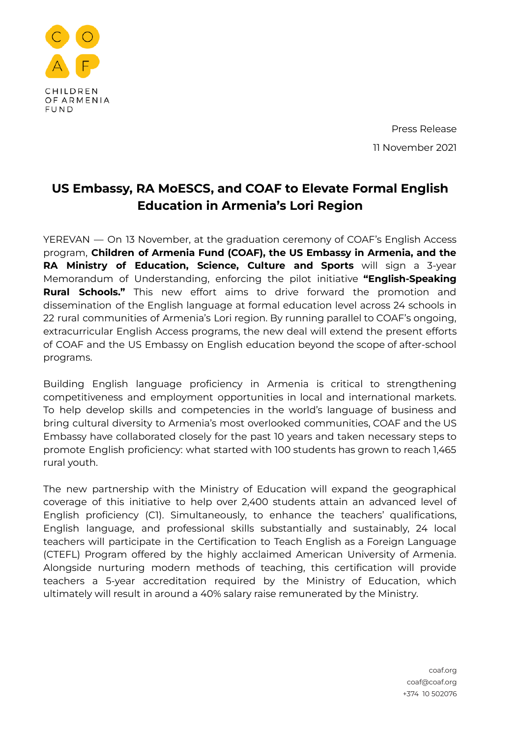

Press Release 11 November 2021

## **US Embassy, RA MoESCS, and COAF to Elevate Formal English Education in Armenia's Lori Region**

YEREVAN — On 13 November, at the graduation ceremony of COAF's English Access program, **Children of Armenia Fund (COAF), the US Embassy in Armenia, and the RA Ministry of Education, Science, Culture and Sports** will sign a 3-year Memorandum of Understanding, enforcing the pilot initiative **"English-Speaking Rural Schools."** This new effort aims to drive forward the promotion and dissemination of the English language at formal education level across 24 schools in 22 rural communities of Armenia's Lori region. By running parallel to COAF's ongoing, extracurricular English Access programs, the new deal will extend the present efforts of COAF and the US Embassy on English education beyond the scope of after-school programs.

Building English language proficiency in Armenia is critical to strengthening competitiveness and employment opportunities in local and international markets. To help develop skills and competencies in the world's language of business and bring cultural diversity to Armenia's most overlooked communities, COAF and the US Embassy have collaborated closely for the past 10 years and taken necessary steps to promote English proficiency: what started with 100 students has grown to reach 1,465 rural youth.

The new partnership with the Ministry of Education will expand the geographical coverage of this initiative to help over 2,400 students attain an advanced level of English proficiency (C1). Simultaneously, to enhance the teachers' qualifications, English language, and professional skills substantially and sustainably, 24 local teachers will participate in the Certification to Teach English as a Foreign Language (CTEFL) Program offered by the highly acclaimed American University of Armenia. Alongside nurturing modern methods of teaching, this certification will provide teachers a 5-year accreditation required by the Ministry of Education, which ultimately will result in around a 40% salary raise remunerated by the Ministry.

> coaf.org coaf@coaf.org +374 10 502076